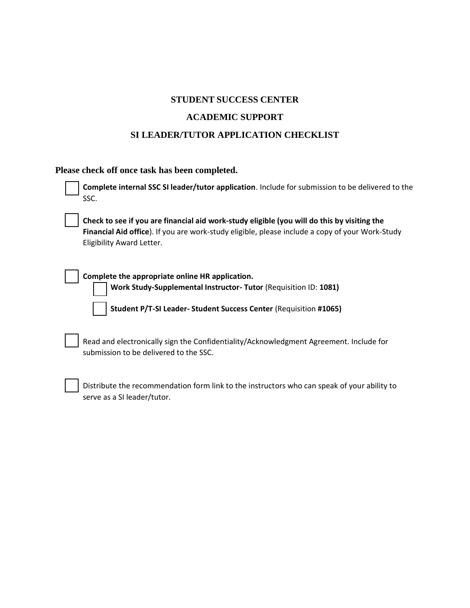### **STUDENT SUCCESS CENTER**

#### **ACADEMIC SUPPORT**

### **SI LEADER/TUTOR APPLICATION CHECKLIST**

## **Please check off once task has been completed.**

| Complete internal SSC SI leader/tutor application. Include for submission to be delivered to the<br>SSC.                                                                                                                    |
|-----------------------------------------------------------------------------------------------------------------------------------------------------------------------------------------------------------------------------|
| Check to see if you are financial aid work-study eligible (you will do this by visiting the<br>Financial Aid office). If you are work-study eligible, please include a copy of your Work-Study<br>Eligibility Award Letter. |
| Complete the appropriate online HR application.<br>Work Study-Supplemental Instructor-Tutor (Requisition ID: 1081)<br>Student P/T-SI Leader- Student Success Center (Requisition #1065)                                     |
| Read and electronically sign the Confidentiality/Acknowledgment Agreement. Include for<br>submission to be delivered to the SSC.                                                                                            |
| Distribute the recommendation form link to the instructors who can speak of your ability to<br>serve as a SI leader/tutor.                                                                                                  |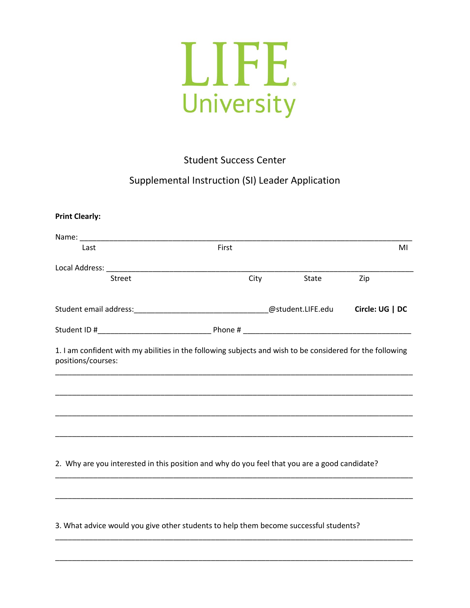

Student Success Center

## Supplemental Instruction (SI) Leader Application

| Last                                                                                          | First |                   | MI              |
|-----------------------------------------------------------------------------------------------|-------|-------------------|-----------------|
|                                                                                               |       |                   |                 |
| Street                                                                                        | City  | State             | Zip             |
|                                                                                               |       | @student.LIFE.edu | Circle: UG   DC |
|                                                                                               |       |                   |                 |
|                                                                                               |       |                   |                 |
|                                                                                               |       |                   |                 |
| 2. Why are you interested in this position and why do you feel that you are a good candidate? |       |                   |                 |

\_\_\_\_\_\_\_\_\_\_\_\_\_\_\_\_\_\_\_\_\_\_\_\_\_\_\_\_\_\_\_\_\_\_\_\_\_\_\_\_\_\_\_\_\_\_\_\_\_\_\_\_\_\_\_\_\_\_\_\_\_\_\_\_\_\_\_\_\_\_\_\_\_\_\_\_\_\_\_\_\_\_\_\_\_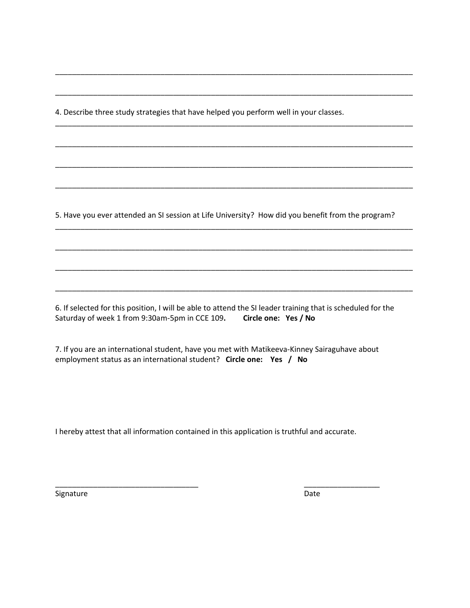4. Describe three study strategies that have helped you perform well in your classes.

5. Have you ever attended an SI session at Life University? How did you benefit from the program?

\_\_\_\_\_\_\_\_\_\_\_\_\_\_\_\_\_\_\_\_\_\_\_\_\_\_\_\_\_\_\_\_\_\_\_\_\_\_\_\_\_\_\_\_\_\_\_\_\_\_\_\_\_\_\_\_\_\_\_\_\_\_\_\_\_\_\_\_\_\_\_\_\_\_\_\_\_\_\_\_\_\_\_\_\_

\_\_\_\_\_\_\_\_\_\_\_\_\_\_\_\_\_\_\_\_\_\_\_\_\_\_\_\_\_\_\_\_\_\_\_\_\_\_\_\_\_\_\_\_\_\_\_\_\_\_\_\_\_\_\_\_\_\_\_\_\_\_\_\_\_\_\_\_\_\_\_\_\_\_\_\_\_\_\_\_\_\_\_\_\_

\_\_\_\_\_\_\_\_\_\_\_\_\_\_\_\_\_\_\_\_\_\_\_\_\_\_\_\_\_\_\_\_\_\_\_\_\_\_\_\_\_\_\_\_\_\_\_\_\_\_\_\_\_\_\_\_\_\_\_\_\_\_\_\_\_\_\_\_\_\_\_\_\_\_\_\_\_\_\_\_\_\_\_\_\_

\_\_\_\_\_\_\_\_\_\_\_\_\_\_\_\_\_\_\_\_\_\_\_\_\_\_\_\_\_\_\_\_\_\_\_\_\_\_\_\_\_\_\_\_\_\_\_\_\_\_\_\_\_\_\_\_\_\_\_\_\_\_\_\_\_\_\_\_\_\_\_\_\_\_\_\_\_\_\_\_\_\_\_\_\_

\_\_\_\_\_\_\_\_\_\_\_\_\_\_\_\_\_\_\_\_\_\_\_\_\_\_\_\_\_\_\_\_\_\_\_\_\_\_\_\_\_\_\_\_\_\_\_\_\_\_\_\_\_\_\_\_\_\_\_\_\_\_\_\_\_\_\_\_\_\_\_\_\_\_\_\_\_\_\_\_\_\_\_\_\_

\_\_\_\_\_\_\_\_\_\_\_\_\_\_\_\_\_\_\_\_\_\_\_\_\_\_\_\_\_\_\_\_\_\_\_\_\_\_\_\_\_\_\_\_\_\_\_\_\_\_\_\_\_\_\_\_\_\_\_\_\_\_\_\_\_\_\_\_\_\_\_\_\_\_\_\_\_\_\_\_\_\_\_\_\_

\_\_\_\_\_\_\_\_\_\_\_\_\_\_\_\_\_\_\_\_\_\_\_\_\_\_\_\_\_\_\_\_\_\_\_\_\_\_\_\_\_\_\_\_\_\_\_\_\_\_\_\_\_\_\_\_\_\_\_\_\_\_\_\_\_\_\_\_\_\_\_\_\_\_\_\_\_\_\_\_\_\_\_\_\_

\_\_\_\_\_\_\_\_\_\_\_\_\_\_\_\_\_\_\_\_\_\_\_\_\_\_\_\_\_\_\_\_\_\_\_\_\_\_\_\_\_\_\_\_\_\_\_\_\_\_\_\_\_\_\_\_\_\_\_\_\_\_\_\_\_\_\_\_\_\_\_\_\_\_\_\_\_\_\_\_\_\_\_\_\_

\_\_\_\_\_\_\_\_\_\_\_\_\_\_\_\_\_\_\_\_\_\_\_\_\_\_\_\_\_\_\_\_\_\_\_\_\_\_\_\_\_\_\_\_\_\_\_\_\_\_\_\_\_\_\_\_\_\_\_\_\_\_\_\_\_\_\_\_\_\_\_\_\_\_\_\_\_\_\_\_\_\_\_\_\_

\_\_\_\_\_\_\_\_\_\_\_\_\_\_\_\_\_\_\_\_\_\_\_\_\_\_\_\_\_\_\_\_\_\_\_\_\_\_\_\_\_\_\_\_\_\_\_\_\_\_\_\_\_\_\_\_\_\_\_\_\_\_\_\_\_\_\_\_\_\_\_\_\_\_\_\_\_\_\_\_\_\_\_\_\_

6. If selected for this position, I will be able to attend the SI leader training that is scheduled for the Saturday of week 1 from 9:30am-5pm in CCE 109**. Circle one: Yes / No**

7. If you are an international student, have you met with Matikeeva-Kinney Sairaguhave about employment status as an international student? **Circle one: Yes / No**

I hereby attest that all information contained in this application is truthful and accurate.

\_\_\_\_\_\_\_\_\_\_\_\_\_\_\_\_\_\_\_\_\_\_\_\_\_\_\_\_\_\_\_\_\_\_ \_\_\_\_\_\_\_\_\_\_\_\_\_\_\_\_\_\_

Signature Date